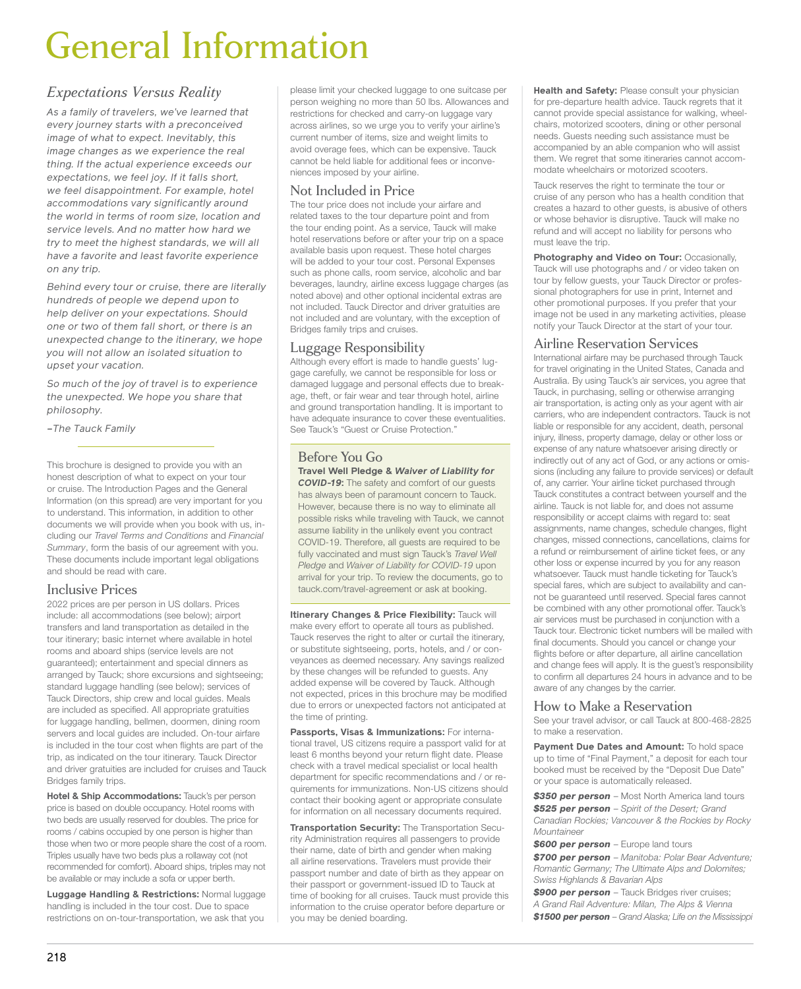# General Information

# *Expectations Versus Reality*

*As a family of travelers, we've learned that every journey starts with a preconceived image of what to expect. Inevitably, this image changes as we experience the real thing. If the actual experience exceeds our expectations, we feel joy. If it falls short, we feel disappointment. For example, hotel accommodations vary significantly around the world in terms of room size, location and service levels. And no matter how hard we try to meet the highest standards, we will all have a favorite and least favorite experience on any trip.*

*Behind every tour or cruise, there are literally hundreds of people we depend upon to help deliver on your expectations. Should one or two of them fall short, or there is an unexpected change to the itinerary, we hope you will not allow an isolated situation to upset your vacation.*

*So much of the joy of travel is to experience the unexpected. We hope you share that philosophy.*

*–The Tauck Family*

This brochure is designed to provide you with an honest description of what to expect on your tour or cruise. The Introduction Pages and the General Information (on this spread) are very important for you to understand. This information, in addition to other documents we will provide when you book with us, including our *Travel Terms and Conditions* and *Financial Summary*, form the basis of our agreement with you. These documents include important legal obligations and should be read with care.

# Inclusive Prices

2022 prices are per person in US dollars. Prices include: all accommodations (see below); airport transfers and land transportation as detailed in the tour itinerary; basic internet where available in hotel rooms and aboard ships (service levels are not guaranteed); entertainment and special dinners as arranged by Tauck; shore excursions and sightseeing; standard luggage handling (see below); services of Tauck Directors, ship crew and local guides. Meals are included as specified. All appropriate gratuities for luggage handling, bellmen, doormen, dining room servers and local guides are included. On-tour airfare is included in the tour cost when flights are part of the trip, as indicated on the tour itinerary. Tauck Director and driver gratuities are included for cruises and Tauck Bridges family trips.

**Hotel & Ship Accommodations:** Tauck's per person price is based on double occupancy. Hotel rooms with two beds are usually reserved for doubles. The price for rooms / cabins occupied by one person is higher than those when two or more people share the cost of a room. Triples usually have two beds plus a rollaway cot (not recommended for comfort). Aboard ships, triples may not be available or may include a sofa or upper berth.

**Luggage Handling & Restrictions:** Normal luggage handling is included in the tour cost. Due to space restrictions on on-tour-transportation, we ask that you

please limit your checked luggage to one suitcase per person weighing no more than 50 lbs. Allowances and restrictions for checked and carry-on luggage vary across airlines, so we urge you to verify your airline's current number of items, size and weight limits to avoid overage fees, which can be expensive. Tauck cannot be held liable for additional fees or inconveniences imposed by your airline.

# Not Included in Price

The tour price does not include your airfare and related taxes to the tour departure point and from the tour ending point. As a service, Tauck will make hotel reservations before or after your trip on a space available basis upon request. These hotel charges will be added to your tour cost. Personal Expenses such as phone calls, room service, alcoholic and bar beverages, laundry, airline excess luggage charges (as noted above) and other optional incidental extras are not included. Tauck Director and driver gratuities are not included and are voluntary, with the exception of Bridges family trips and cruises.

## Luggage Responsibility

Although every effort is made to handle guests' luggage carefully, we cannot be responsible for loss or damaged luggage and personal effects due to breakage, theft, or fair wear and tear through hotel, airline and ground transportation handling. It is important to have adequate insurance to cover these eventualities. See Tauck's "Guest or Cruise Protection.

# Before You Go

**Travel Well Pledge &** *Waiver of Liability for COVID-19***:** The safety and comfort of our guests has always been of paramount concern to Tauck. However, because there is no way to eliminate all possible risks while traveling with Tauck, we cannot assume liability in the unlikely event you contract COVID-19. Therefore, all guests are required to be fully vaccinated and must sign Tauck's *Travel Well Pledge* and *Waiver of Liability for COVID-19* upon arrival for your trip. To review the documents, go to tauck.com/travel-agreement or ask at booking.

**Itinerary Changes & Price Flexibility:** Tauck will make every effort to operate all tours as published. Tauck reserves the right to alter or curtail the itinerary, or substitute sightseeing, ports, hotels, and / or conveyances as deemed necessary. Any savings realized by these changes will be refunded to guests. Any added expense will be covered by Tauck. Although not expected, prices in this brochure may be modified due to errors or unexpected factors not anticipated at the time of printing.

**Passports, Visas & Immunizations:** For international travel, US citizens require a passport valid for at least 6 months beyond your return flight date. Please check with a travel medical specialist or local health department for specific recommendations and / or requirements for immunizations. Non-US citizens should contact their booking agent or appropriate consulate for information on all necessary documents required.

**Transportation Security:** The Transportation Security Administration requires all passengers to provide their name, date of birth and gender when making all airline reservations. Travelers must provide their passport number and date of birth as they appear on their passport or government-issued ID to Tauck at time of booking for all cruises. Tauck must provide this information to the cruise operator before departure or you may be denied boarding.

**Health and Safety: Please consult your physician** for pre-departure health advice. Tauck regrets that it cannot provide special assistance for walking, wheelchairs, motorized scooters, dining or other personal needs. Guests needing such assistance must be accompanied by an able companion who will assist them. We regret that some itineraries cannot accommodate wheelchairs or motorized scooters.

Tauck reserves the right to terminate the tour or cruise of any person who has a health condition that creates a hazard to other guests, is abusive of others or whose behavior is disruptive. Tauck will make no refund and will accept no liability for persons who must leave the trip.

**Photography and Video on Tour:** Occasionally, Tauck will use photographs and / or video taken on tour by fellow guests, your Tauck Director or professional photographers for use in print, Internet and other promotional purposes. If you prefer that your image not be used in any marketing activities, please notify your Tauck Director at the start of your tour.

## Airline Reservation Services

International airfare may be purchased through Tauck for travel originating in the United States, Canada and Australia. By using Tauck's air services, you agree that Tauck, in purchasing, selling or otherwise arranging air transportation, is acting only as your agent with air carriers, who are independent contractors. Tauck is not liable or responsible for any accident, death, personal injury, illness, property damage, delay or other loss or expense of any nature whatsoever arising directly or indirectly out of any act of God, or any actions or omissions (including any failure to provide services) or default of, any carrier. Your airline ticket purchased through Tauck constitutes a contract between yourself and the airline. Tauck is not liable for, and does not assume responsibility or accept claims with regard to: seat assignments, name changes, schedule changes, flight changes, missed connections, cancellations, claims for a refund or reimbursement of airline ticket fees, or any other loss or expense incurred by you for any reason whatsoever. Tauck must handle ticketing for Tauck's special fares, which are subject to availability and cannot be guaranteed until reserved. Special fares cannot be combined with any other promotional offer. Tauck's air services must be purchased in conjunction with a Tauck tour. Electronic ticket numbers will be mailed with final documents. Should you cancel or change your flights before or after departure, all airline cancellation and change fees will apply. It is the guest's responsibility to confirm all departures 24 hours in advance and to be aware of any changes by the carrier.

## How to Make a Reservation

See your travel advisor, or call Tauck at 800-468-2825 to make a reservation.

**Payment Due Dates and Amount:** To hold space up to time of "Final Payment," a deposit for each tour booked must be received by the "Deposit Due Date" or your space is automatically released.

*\$350 per person* – Most North America land tours *\$525 per person* – *Spirit of the Desert; Grand Canadian Rockies; Vancouver & the Rockies by Rocky Mountaineer*

**\$600 per person** – Europe land tours

*\$700 per person* – *Manitoba: Polar Bear Adventure; Romantic Germany; The Ultimate Alps and Dolomites; Swiss Highlands & Bavarian Alps* 

*\$900 per person* – Tauck Bridges river cruises; *A Grand Rail Adventure: Milan, The Alps & Vienna \$1500 per person* – *Grand Alaska; Life on the Mississippi*